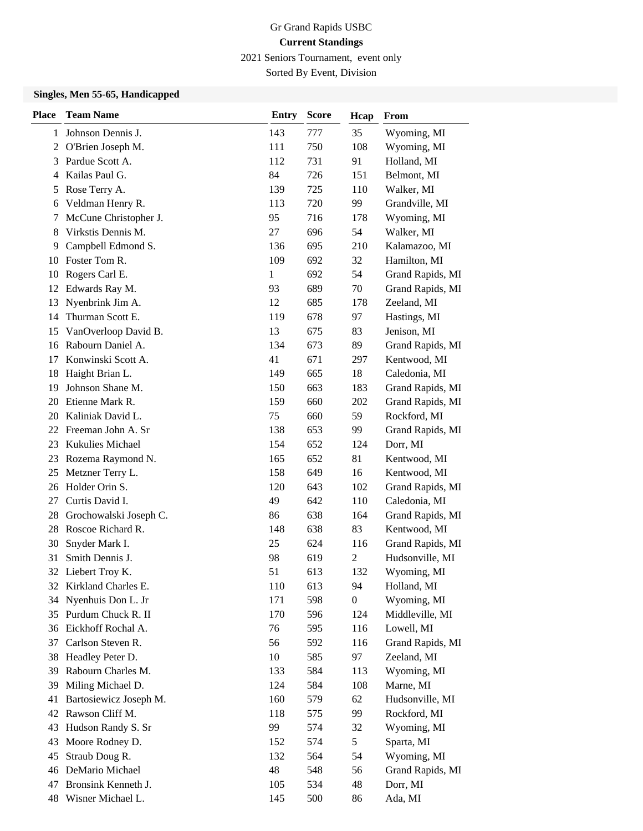2021 Seniors Tournament, event only

Sorted By Event, Division

## **Singles, Men 55-65, Handicapped**

| <b>Place</b>   | <b>Team Name</b>       | <b>Entry</b> | <b>Score</b> | Hcap             | From             |
|----------------|------------------------|--------------|--------------|------------------|------------------|
| 1              | Johnson Dennis J.      | 143          | 777          | 35               | Wyoming, MI      |
| $\overline{c}$ | O'Brien Joseph M.      | 111          | 750          | 108              | Wyoming, MI      |
| 3              | Pardue Scott A.        | 112          | 731          | 91               | Holland, MI      |
| 4              | Kailas Paul G.         | 84           | 726          | 151              | Belmont, MI      |
| 5              | Rose Terry A.          | 139          | 725          | 110              | Walker, MI       |
| 6              | Veldman Henry R.       | 113          | 720          | 99               | Grandville, MI   |
| 7              | McCune Christopher J.  | 95           | 716          | 178              | Wyoming, MI      |
| 8              | Virkstis Dennis M.     | 27           | 696          | 54               | Walker, MI       |
| 9              | Campbell Edmond S.     | 136          | 695          | 210              | Kalamazoo, MI    |
| 10             | Foster Tom R.          | 109          | 692          | 32               | Hamilton, MI     |
| 10             | Rogers Carl E.         | 1            | 692          | 54               | Grand Rapids, MI |
| 12             | Edwards Ray M.         | 93           | 689          | 70               | Grand Rapids, MI |
| 13             | Nyenbrink Jim A.       | 12           | 685          | 178              | Zeeland, MI      |
| 14             | Thurman Scott E.       | 119          | 678          | 97               | Hastings, MI     |
| 15             | VanOverloop David B.   | 13           | 675          | 83               | Jenison, MI      |
| 16             | Rabourn Daniel A.      | 134          | 673          | 89               | Grand Rapids, MI |
| 17             | Konwinski Scott A.     | 41           | 671          | 297              | Kentwood, MI     |
| 18             | Haight Brian L.        | 149          | 665          | 18               | Caledonia, MI    |
| 19             | Johnson Shane M.       | 150          | 663          | 183              | Grand Rapids, MI |
| 20             | Etienne Mark R.        | 159          | 660          | 202              | Grand Rapids, MI |
| 20             | Kaliniak David L.      | 75           | 660          | 59               | Rockford, MI     |
| 22             | Freeman John A. Sr     | 138          | 653          | 99               | Grand Rapids, MI |
| 23             | Kukulies Michael       | 154          | 652          | 124              | Dorr, MI         |
| 23             | Rozema Raymond N.      | 165          | 652          | 81               | Kentwood, MI     |
| 25             | Metzner Terry L.       | 158          | 649          | 16               | Kentwood, MI     |
| 26             | Holder Orin S.         | 120          | 643          | 102              | Grand Rapids, MI |
| 27             | Curtis David I.        | 49           | 642          | 110              | Caledonia, MI    |
| 28             | Grochowalski Joseph C. | 86           | 638          | 164              | Grand Rapids, MI |
| 28             | Roscoe Richard R.      | 148          | 638          | 83               | Kentwood, MI     |
| 30             | Snyder Mark I.         | 25           | 624          | 116              | Grand Rapids, MI |
| 31             | Smith Dennis J.        | 98           | 619          | 2                | Hudsonville, MI  |
| 32             | Liebert Troy K.        | 51           | 613          | 132              | Wyoming, MI      |
| 32             | Kirkland Charles E.    | 110          | 613          | 94               | Holland, MI      |
| 34             | Nyenhuis Don L. Jr     | 171          | 598          | $\boldsymbol{0}$ | Wyoming, MI      |
| 35             | Purdum Chuck R. II     | 170          | 596          | 124              | Middleville, MI  |
| 36             | Eickhoff Rochal A.     | 76           | 595          | 116              | Lowell, MI       |
| 37             | Carlson Steven R.      | 56           | 592          | 116              | Grand Rapids, MI |
| 38             | Headley Peter D.       | 10           | 585          | 97               | Zeeland, MI      |
| 39             | Rabourn Charles M.     | 133          | 584          | 113              | Wyoming, MI      |
| 39             | Miling Michael D.      | 124          | 584          | 108              | Marne, MI        |
| 41             | Bartosiewicz Joseph M. | 160          | 579          | 62               | Hudsonville, MI  |
| 42             | Rawson Cliff M.        | 118          | 575          | 99               | Rockford, MI     |
| 43             | Hudson Randy S. Sr     | 99           | 574          | 32               | Wyoming, MI      |
| 43             | Moore Rodney D.        | 152          | 574          | 5                | Sparta, MI       |
| 45             | Straub Doug R.         | 132          | 564          | 54               | Wyoming, MI      |
| 46             | DeMario Michael        | 48           | 548          | 56               | Grand Rapids, MI |
| 47             | Bronsink Kenneth J.    | 105          | 534          | 48               | Dorr, MI         |
|                | 48 Wisner Michael L.   | 145          | 500          | 86               | Ada, MI          |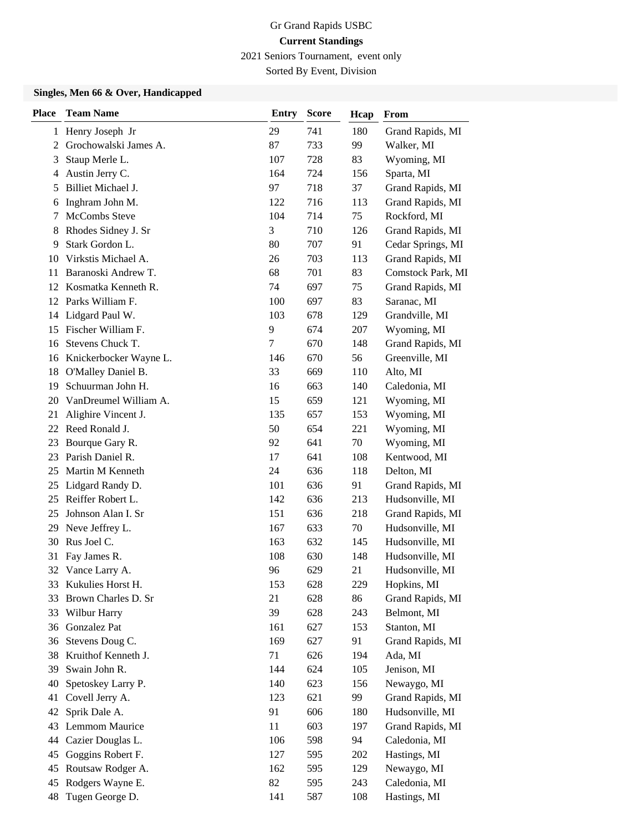2021 Seniors Tournament, event only

Sorted By Event, Division

### **Singles, Men 66 & Over, Handicapped**

| <b>Place</b>   | <b>Team Name</b>          | <b>Entry</b> | <b>Score</b> | Hcap | From              |
|----------------|---------------------------|--------------|--------------|------|-------------------|
|                | 1 Henry Joseph Jr         | 29           | 741          | 180  | Grand Rapids, MI  |
| $\overline{2}$ | Grochowalski James A.     | 87           | 733          | 99   | Walker, MI        |
| 3              | Staup Merle L.            | 107          | 728          | 83   | Wyoming, MI       |
| 4              | Austin Jerry C.           | 164          | 724          | 156  | Sparta, MI        |
| 5              | Billiet Michael J.        | 97           | 718          | 37   | Grand Rapids, MI  |
| 6              | Inghram John M.           | 122          | 716          | 113  | Grand Rapids, MI  |
| 7              | McCombs Steve             | 104          | 714          | 75   | Rockford, MI      |
| 8              | Rhodes Sidney J. Sr       | 3            | 710          | 126  | Grand Rapids, MI  |
| 9              | Stark Gordon L.           | 80           | 707          | 91   | Cedar Springs, MI |
| 10             | Virkstis Michael A.       | 26           | 703          | 113  | Grand Rapids, MI  |
| 11             | Baranoski Andrew T.       | 68           | 701          | 83   | Comstock Park, MI |
| 12             | Kosmatka Kenneth R.       | 74           | 697          | 75   | Grand Rapids, MI  |
|                | 12 Parks William F.       | 100          | 697          | 83   | Saranac, MI       |
| 14             | Lidgard Paul W.           | 103          | 678          | 129  | Grandville, MI    |
| 15             | Fischer William F.        | 9            | 674          | 207  | Wyoming, MI       |
| 16             | Stevens Chuck T.          | 7            | 670          | 148  | Grand Rapids, MI  |
|                | 16 Knickerbocker Wayne L. | 146          | 670          | 56   | Greenville, MI    |
| 18             | O'Malley Daniel B.        | 33           | 669          | 110  | Alto, MI          |
| 19             | Schuurman John H.         | 16           | 663          | 140  | Caledonia, MI     |
| 20             | VanDreumel William A.     | 15           | 659          | 121  | Wyoming, MI       |
| 21             | Alighire Vincent J.       | 135          | 657          | 153  | Wyoming, MI       |
| 22             | Reed Ronald J.            | 50           | 654          | 221  | Wyoming, MI       |
| 23             | Bourque Gary R.           | 92           | 641          | 70   | Wyoming, MI       |
| 23             | Parish Daniel R.          | 17           | 641          | 108  | Kentwood, MI      |
| 25             | Martin M Kenneth          | 24           | 636          | 118  | Delton, MI        |
| 25             | Lidgard Randy D.          | 101          | 636          | 91   | Grand Rapids, MI  |
| 25             | Reiffer Robert L.         | 142          | 636          | 213  | Hudsonville, MI   |
| 25             | Johnson Alan I. Sr        | 151          | 636          | 218  | Grand Rapids, MI  |
| 29             | Neve Jeffrey L.           | 167          | 633          | 70   | Hudsonville, MI   |
| 30             | Rus Joel C.               | 163          | 632          | 145  | Hudsonville, MI   |
| 31             | Fay James R.              | 108          | 630          | 148  | Hudsonville, MI   |
| 32             | Vance Larry A.            | 96           | 629          | 21   | Hudsonville, MI   |
| 33             | Kukulies Horst H.         | 153          | 628          | 229  | Hopkins, MI       |
| 33             | Brown Charles D. Sr       | 21           | 628          | 86   | Grand Rapids, MI  |
| 33             | Wilbur Harry              | 39           | 628          | 243  | Belmont, MI       |
| 36             | Gonzalez Pat              | 161          | 627          | 153  | Stanton, MI       |
| 36             | Stevens Doug C.           | 169          | 627          | 91   | Grand Rapids, MI  |
| 38             | Kruithof Kenneth J.       | 71           | 626          | 194  | Ada, MI           |
| 39             | Swain John R.             | 144          | 624          | 105  | Jenison, MI       |
| 40             | Spetoskey Larry P.        | 140          | 623          | 156  | Newaygo, MI       |
| 41             | Covell Jerry A.           | 123          | 621          | 99   | Grand Rapids, MI  |
| 42             | Sprik Dale A.             | 91           | 606          | 180  | Hudsonville, MI   |
| 43             | Lemmom Maurice            | 11           | 603          | 197  | Grand Rapids, MI  |
| 44             | Cazier Douglas L.         | 106          | 598          | 94   | Caledonia, MI     |
| 45             | Goggins Robert F.         | 127          | 595          | 202  | Hastings, MI      |
| 45             | Routsaw Rodger A.         | 162          | 595          | 129  | Newaygo, MI       |
| 45             | Rodgers Wayne E.          | 82           | 595          | 243  | Caledonia, MI     |
| 48             | Tugen George D.           | 141          | 587          | 108  | Hastings, MI      |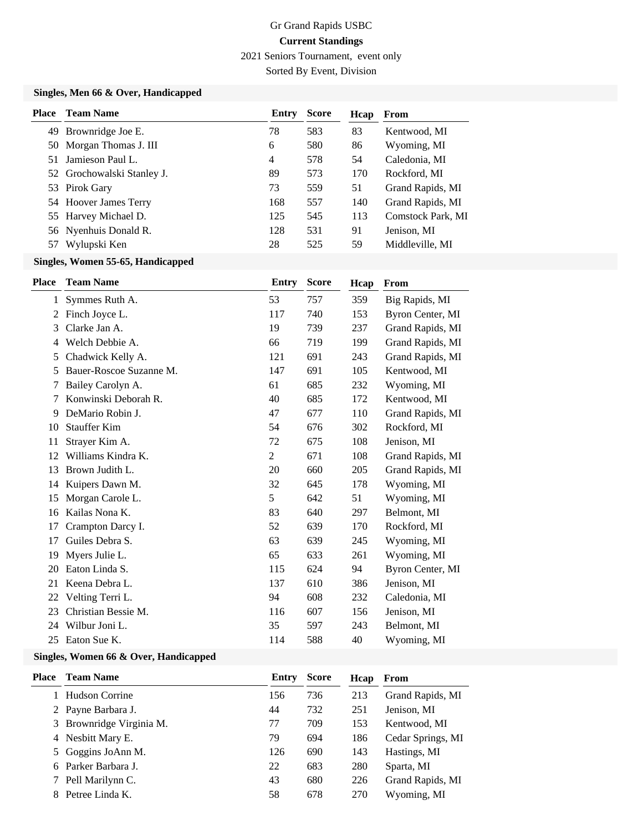2021 Seniors Tournament, event only

Sorted By Event, Division

### **Singles, Men 66 & Over, Handicapped**

| <b>Place</b> | <b>Team Name</b>           | Entry | <b>Score</b> | Hcap | From              |
|--------------|----------------------------|-------|--------------|------|-------------------|
|              | 49 Brownridge Joe E.       | 78    | 583          | 83   | Kentwood, MI      |
|              | 50 Morgan Thomas J. III    | 6     | 580          | 86   | Wyoming, MI       |
| 51           | Jamieson Paul L.           | 4     | 578          | 54   | Caledonia, MI     |
|              | 52 Grochowalski Stanley J. | 89    | 573          | 170  | Rockford, MI      |
|              | 53 Pirok Gary              | 73    | 559          | 51   | Grand Rapids, MI  |
|              | 54 Hoover James Terry      | 168   | 557          | 140  | Grand Rapids, MI  |
|              | 55 Harvey Michael D.       | 125   | 545          | 113  | Comstock Park, MI |
|              | 56 Nyenhuis Donald R.      | 128   | 531          | 91   | Jenison, MI       |
| 57           | Wylupski Ken               | 28    | 525          | 59   | Middleville, MI   |

### **Singles, Women 55-65, Handicapped**

| <b>Place</b> | <b>Team Name</b>        | <b>Entry</b>   | <b>Score</b> | Hcap | From             |
|--------------|-------------------------|----------------|--------------|------|------------------|
| 1            | Symmes Ruth A.          | 53             | 757          | 359  | Big Rapids, MI   |
| 2            | Finch Joyce L.          | 117            | 740          | 153  | Byron Center, MI |
| 3            | Clarke Jan A.           | 19             | 739          | 237  | Grand Rapids, MI |
| 4            | Welch Debbie A.         | 66             | 719          | 199  | Grand Rapids, MI |
| 5            | Chadwick Kelly A.       | 121            | 691          | 243  | Grand Rapids, MI |
| 5            | Bauer-Roscoe Suzanne M. | 147            | 691          | 105  | Kentwood, MI     |
| 7            | Bailey Carolyn A.       | 61             | 685          | 232  | Wyoming, MI      |
| 7            | Konwinski Deborah R.    | 40             | 685          | 172  | Kentwood, MI     |
| 9            | DeMario Robin J.        | 47             | 677          | 110  | Grand Rapids, MI |
| 10           | <b>Stauffer Kim</b>     | 54             | 676          | 302  | Rockford, MI     |
| 11           | Strayer Kim A.          | 72             | 675          | 108  | Jenison, MI      |
| 12           | Williams Kindra K.      | $\overline{2}$ | 671          | 108  | Grand Rapids, MI |
| 13           | Brown Judith L.         | 20             | 660          | 205  | Grand Rapids, MI |
| 14           | Kuipers Dawn M.         | 32             | 645          | 178  | Wyoming, MI      |
| 15           | Morgan Carole L.        | 5              | 642          | 51   | Wyoming, MI      |
| 16           | Kailas Nona K.          | 83             | 640          | 297  | Belmont, MI      |
| 17           | Crampton Darcy I.       | 52             | 639          | 170  | Rockford, MI     |
| 17           | Guiles Debra S.         | 63             | 639          | 245  | Wyoming, MI      |
| 19           | Myers Julie L.          | 65             | 633          | 261  | Wyoming, MI      |
| 20           | Eaton Linda S.          | 115            | 624          | 94   | Byron Center, MI |
| 21           | Keena Debra L.          | 137            | 610          | 386  | Jenison, MI      |
| 22           | Velting Terri L.        | 94             | 608          | 232  | Caledonia, MI    |
| 23           | Christian Bessie M.     | 116            | 607          | 156  | Jenison, MI      |
| 24           | Wilbur Joni L.          | 35             | 597          | 243  | Belmont, MI      |
| 25           | Eaton Sue K.            | 114            | 588          | 40   | Wyoming, MI      |

### **Singles, Women 66 & Over, Handicapped**

| Place | <b>Team Name</b>         | Entry | <b>Score</b> | Hcap | From              |
|-------|--------------------------|-------|--------------|------|-------------------|
|       | 1 Hudson Corrine         | 156   | 736          | 213  | Grand Rapids, MI  |
|       | 2 Payne Barbara J.       | 44    | 732          | 251  | Jenison, MI       |
|       | 3 Brownridge Virginia M. | 77    | 709          | 153  | Kentwood, MI      |
|       | 4 Nesbitt Mary E.        | 79    | 694          | 186  | Cedar Springs, MI |
|       | 5 Goggins JoAnn M.       | 126   | 690          | 143  | Hastings, MI      |
|       | 6 Parker Barbara J.      | 22    | 683          | 280  | Sparta, MI        |
|       | 7 Pell Marilynn C.       | 43    | 680          | 226  | Grand Rapids, MI  |
|       | 8 Petree Linda K.        | 58    | 678          | 270  | Wyoming, MI       |
|       |                          |       |              |      |                   |